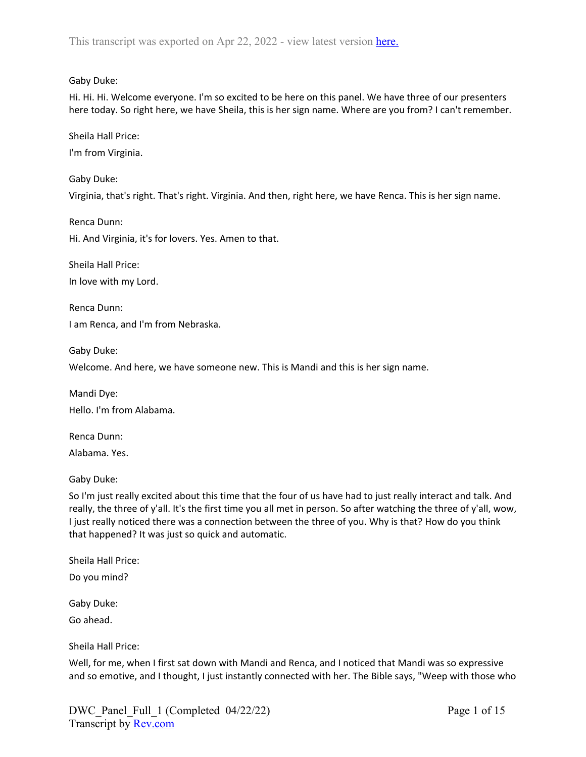## Gaby Duke:

Hi. Hi. Hi. Welcome everyone. I'm so excited to be here on this panel. We have three of our presenters here today. So right here, we have Sheila, this is her sign name. Where are you from? I can't remember.

Sheila Hall Price:

I'm from Virginia.

Gaby Duke:

Virginia, that's right. That's right. Virginia. And then, right here, we have Renca. This is her sign name.

Renca Dunn: Hi. And Virginia, it's for lovers. Yes. Amen to that.

Sheila Hall Price:

In love with my Lord.

Renca Dunn: I am Renca, and I'm from Nebraska.

Gaby Duke:

Welcome. And here, we have someone new. This is Mandi and this is her sign name.

Mandi Dye: Hello. I'm from Alabama.

Renca Dunn: Alabama. Yes.

Gaby Duke:

So I'm just really excited about this time that the four of us have had to just really interact and talk. And really, the three of y'all. It's the first time you all met in person. So after watching the three of y'all, wow, I just really noticed there was a connection between the three of you. Why is that? How do you think that happened? It was just so quick and automatic.

Sheila Hall Price:

Do you mind?

Gaby Duke:

Go ahead.

Sheila Hall Price:

Well, for me, when I first sat down with Mandi and Renca, and I noticed that Mandi was so expressive and so emotive, and I thought, I just instantly connected with her. The Bible says, "Weep with those who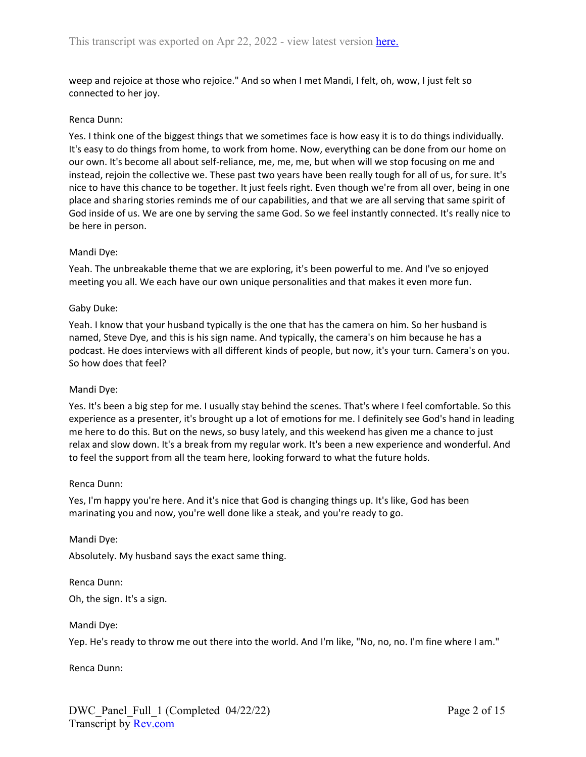weep and rejoice at those who rejoice." And so when I met Mandi, I felt, oh, wow, I just felt so connected to her joy.

#### Renca Dunn:

Yes. I think one of the biggest things that we sometimes face is how easy it is to do things individually. It's easy to do things from home, to work from home. Now, everything can be done from our home on our own. It's become all about self-reliance, me, me, me, but when will we stop focusing on me and instead, rejoin the collective we. These past two years have been really tough for all of us, for sure. It's nice to have this chance to be together. It just feels right. Even though we're from all over, being in one place and sharing stories reminds me of our capabilities, and that we are all serving that same spirit of God inside of us. We are one by serving the same God. So we feel instantly connected. It's really nice to be here in person.

#### Mandi Dye:

Yeah. The unbreakable theme that we are exploring, it's been powerful to me. And I've so enjoyed meeting you all. We each have our own unique personalities and that makes it even more fun.

#### Gaby Duke:

Yeah. I know that your husband typically is the one that has the camera on him. So her husband is named, Steve Dye, and this is his sign name. And typically, the camera's on him because he has a podcast. He does interviews with all different kinds of people, but now, it's your turn. Camera's on you. So how does that feel?

#### Mandi Dye:

Yes. It's been a big step for me. I usually stay behind the scenes. That's where I feel comfortable. So this experience as a presenter, it's brought up a lot of emotions for me. I definitely see God's hand in leading me here to do this. But on the news, so busy lately, and this weekend has given me a chance to just relax and slow down. It's a break from my regular work. It's been a new experience and wonderful. And to feel the support from all the team here, looking forward to what the future holds.

#### Renca Dunn:

Yes, I'm happy you're here. And it's nice that God is changing things up. It's like, God has been marinating you and now, you're well done like a steak, and you're ready to go.

Mandi Dye: Absolutely. My husband says the exact same thing.

Renca Dunn: Oh, the sign. It's a sign.

Mandi Dye:

Yep. He's ready to throw me out there into the world. And I'm like, "No, no, no. I'm fine where I am."

Renca Dunn: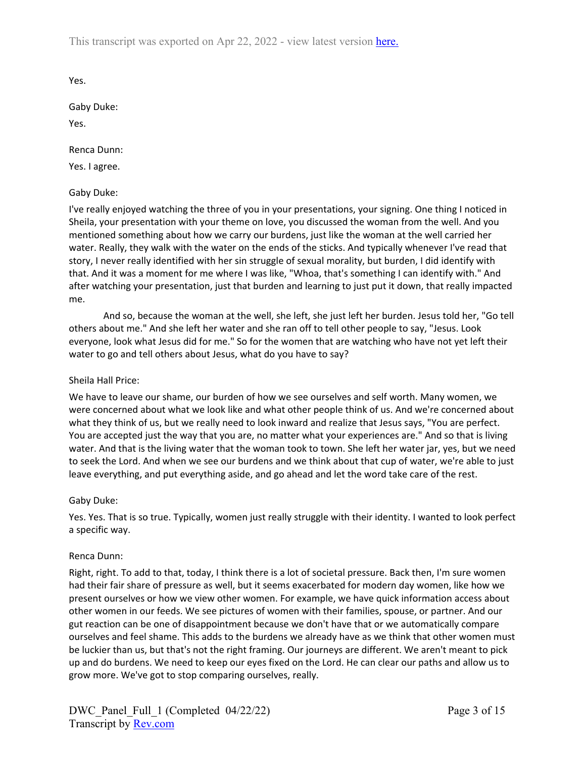This transcript was exported on Apr 22, 2022 - view latest version [here.](https://www.rev.com/transcript-editor/Edit?token=GLxDrOfLtndWeu1HosPA92yOfD6nOs7ZEdJyShZoF9rVltTJZzZCNVnTQZTj2Eu5DQdM2B6NWq2GLxa88GZK_L6MXis&loadFrom=DocumentHeaderDeepLink)

Yes.

Gaby Duke:

Yes.

Renca Dunn:

Yes. I agree.

## Gaby Duke:

I've really enjoyed watching the three of you in your presentations, your signing. One thing I noticed in Sheila, your presentation with your theme on love, you discussed the woman from the well. And you mentioned something about how we carry our burdens, just like the woman at the well carried her water. Really, they walk with the water on the ends of the sticks. And typically whenever I've read that story, I never really identified with her sin struggle of sexual morality, but burden, I did identify with that. And it was a moment for me where I was like, "Whoa, that's something I can identify with." And after watching your presentation, just that burden and learning to just put it down, that really impacted me.

And so, because the woman at the well, she left, she just left her burden. Jesus told her, "Go tell others about me." And she left her water and she ran off to tell other people to say, "Jesus. Look everyone, look what Jesus did for me." So for the women that are watching who have not yet left their water to go and tell others about Jesus, what do you have to say?

## Sheila Hall Price:

We have to leave our shame, our burden of how we see ourselves and self worth. Many women, we were concerned about what we look like and what other people think of us. And we're concerned about what they think of us, but we really need to look inward and realize that Jesus says, "You are perfect. You are accepted just the way that you are, no matter what your experiences are." And so that is living water. And that is the living water that the woman took to town. She left her water jar, yes, but we need to seek the Lord. And when we see our burdens and we think about that cup of water, we're able to just leave everything, and put everything aside, and go ahead and let the word take care of the rest.

#### Gaby Duke:

Yes. Yes. That is so true. Typically, women just really struggle with their identity. I wanted to look perfect a specific way.

#### Renca Dunn:

Right, right. To add to that, today, I think there is a lot of societal pressure. Back then, I'm sure women had their fair share of pressure as well, but it seems exacerbated for modern day women, like how we present ourselves or how we view other women. For example, we have quick information access about other women in our feeds. We see pictures of women with their families, spouse, or partner. And our gut reaction can be one of disappointment because we don't have that or we automatically compare ourselves and feel shame. This adds to the burdens we already have as we think that other women must be luckier than us, but that's not the right framing. Our journeys are different. We aren't meant to pick up and do burdens. We need to keep our eyes fixed on the Lord. He can clear our paths and allow us to grow more. We've got to stop comparing ourselves, really.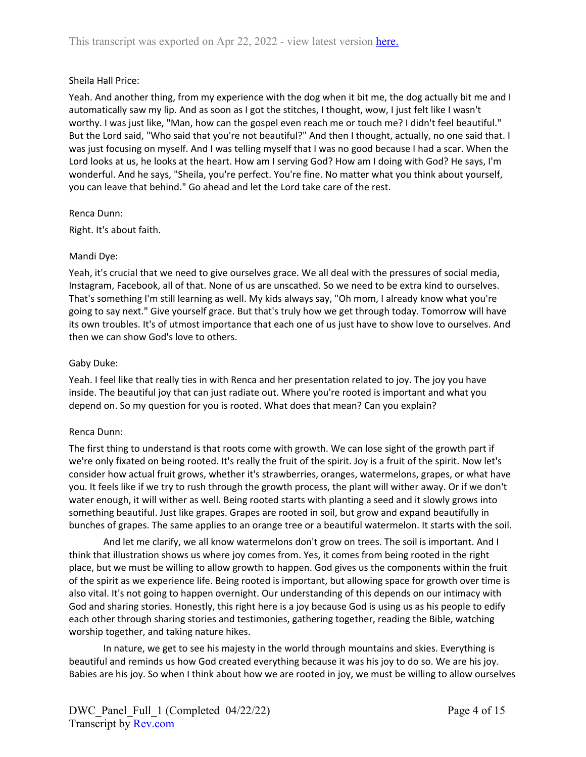## Sheila Hall Price:

Yeah. And another thing, from my experience with the dog when it bit me, the dog actually bit me and I automatically saw my lip. And as soon as I got the stitches, I thought, wow, I just felt like I wasn't worthy. I was just like, "Man, how can the gospel even reach me or touch me? I didn't feel beautiful." But the Lord said, "Who said that you're not beautiful?" And then I thought, actually, no one said that. I was just focusing on myself. And I was telling myself that I was no good because I had a scar. When the Lord looks at us, he looks at the heart. How am I serving God? How am I doing with God? He says, I'm wonderful. And he says, "Sheila, you're perfect. You're fine. No matter what you think about yourself, you can leave that behind." Go ahead and let the Lord take care of the rest.

#### Renca Dunn:

Right. It's about faith.

#### Mandi Dye:

Yeah, it's crucial that we need to give ourselves grace. We all deal with the pressures of social media, Instagram, Facebook, all of that. None of us are unscathed. So we need to be extra kind to ourselves. That's something I'm still learning as well. My kids always say, "Oh mom, I already know what you're going to say next." Give yourself grace. But that's truly how we get through today. Tomorrow will have its own troubles. It's of utmost importance that each one of us just have to show love to ourselves. And then we can show God's love to others.

#### Gaby Duke:

Yeah. I feel like that really ties in with Renca and her presentation related to joy. The joy you have inside. The beautiful joy that can just radiate out. Where you're rooted is important and what you depend on. So my question for you is rooted. What does that mean? Can you explain?

#### Renca Dunn:

The first thing to understand is that roots come with growth. We can lose sight of the growth part if we're only fixated on being rooted. It's really the fruit of the spirit. Joy is a fruit of the spirit. Now let's consider how actual fruit grows, whether it's strawberries, oranges, watermelons, grapes, or what have you. It feels like if we try to rush through the growth process, the plant will wither away. Or if we don't water enough, it will wither as well. Being rooted starts with planting a seed and it slowly grows into something beautiful. Just like grapes. Grapes are rooted in soil, but grow and expand beautifully in bunches of grapes. The same applies to an orange tree or a beautiful watermelon. It starts with the soil.

And let me clarify, we all know watermelons don't grow on trees. The soil is important. And I think that illustration shows us where joy comes from. Yes, it comes from being rooted in the right place, but we must be willing to allow growth to happen. God gives us the components within the fruit of the spirit as we experience life. Being rooted is important, but allowing space for growth over time is also vital. It's not going to happen overnight. Our understanding of this depends on our intimacy with God and sharing stories. Honestly, this right here is a joy because God is using us as his people to edify each other through sharing stories and testimonies, gathering together, reading the Bible, watching worship together, and taking nature hikes.

In nature, we get to see his majesty in the world through mountains and skies. Everything is beautiful and reminds us how God created everything because it was his joy to do so. We are his joy. Babies are his joy. So when I think about how we are rooted in joy, we must be willing to allow ourselves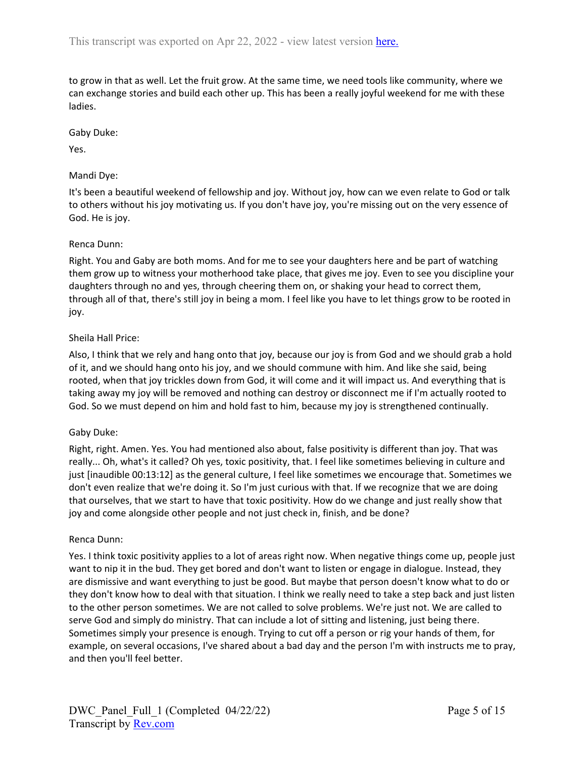to grow in that as well. Let the fruit grow. At the same time, we need tools like community, where we can exchange stories and build each other up. This has been a really joyful weekend for me with these ladies.

## Gaby Duke:

Yes.

# Mandi Dye:

It's been a beautiful weekend of fellowship and joy. Without joy, how can we even relate to God or talk to others without his joy motivating us. If you don't have joy, you're missing out on the very essence of God. He is joy.

# Renca Dunn:

Right. You and Gaby are both moms. And for me to see your daughters here and be part of watching them grow up to witness your motherhood take place, that gives me joy. Even to see you discipline your daughters through no and yes, through cheering them on, or shaking your head to correct them, through all of that, there's still joy in being a mom. I feel like you have to let things grow to be rooted in joy.

# Sheila Hall Price:

Also, I think that we rely and hang onto that joy, because our joy is from God and we should grab a hold of it, and we should hang onto his joy, and we should commune with him. And like she said, being rooted, when that joy trickles down from God, it will come and it will impact us. And everything that is taking away my joy will be removed and nothing can destroy or disconnect me if I'm actually rooted to God. So we must depend on him and hold fast to him, because my joy is strengthened continually.

# Gaby Duke:

Right, right. Amen. Yes. You had mentioned also about, false positivity is different than joy. That was really... Oh, what's it called? Oh yes, toxic positivity, that. I feel like sometimes believing in culture and just [inaudible 00:13:12] as the general culture, I feel like sometimes we encourage that. Sometimes we don't even realize that we're doing it. So I'm just curious with that. If we recognize that we are doing that ourselves, that we start to have that toxic positivity. How do we change and just really show that joy and come alongside other people and not just check in, finish, and be done?

#### Renca Dunn:

Yes. I think toxic positivity applies to a lot of areas right now. When negative things come up, people just want to nip it in the bud. They get bored and don't want to listen or engage in dialogue. Instead, they are dismissive and want everything to just be good. But maybe that person doesn't know what to do or they don't know how to deal with that situation. I think we really need to take a step back and just listen to the other person sometimes. We are not called to solve problems. We're just not. We are called to serve God and simply do ministry. That can include a lot of sitting and listening, just being there. Sometimes simply your presence is enough. Trying to cut off a person or rig your hands of them, for example, on several occasions, I've shared about a bad day and the person I'm with instructs me to pray, and then you'll feel better.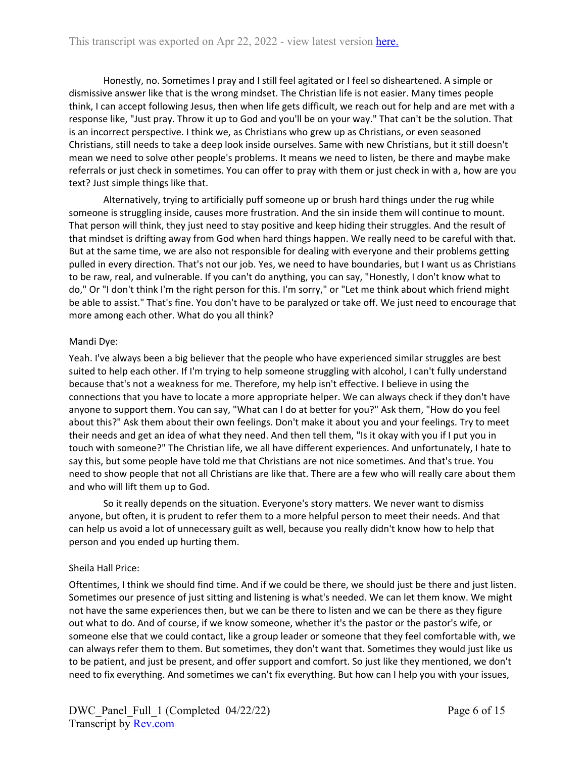Honestly, no. Sometimes I pray and I still feel agitated or I feel so disheartened. A simple or dismissive answer like that is the wrong mindset. The Christian life is not easier. Many times people think, I can accept following Jesus, then when life gets difficult, we reach out for help and are met with a response like, "Just pray. Throw it up to God and you'll be on your way." That can't be the solution. That is an incorrect perspective. I think we, as Christians who grew up as Christians, or even seasoned Christians, still needs to take a deep look inside ourselves. Same with new Christians, but it still doesn't mean we need to solve other people's problems. It means we need to listen, be there and maybe make referrals or just check in sometimes. You can offer to pray with them or just check in with a, how are you text? Just simple things like that.

Alternatively, trying to artificially puff someone up or brush hard things under the rug while someone is struggling inside, causes more frustration. And the sin inside them will continue to mount. That person will think, they just need to stay positive and keep hiding their struggles. And the result of that mindset is drifting away from God when hard things happen. We really need to be careful with that. But at the same time, we are also not responsible for dealing with everyone and their problems getting pulled in every direction. That's not our job. Yes, we need to have boundaries, but I want us as Christians to be raw, real, and vulnerable. If you can't do anything, you can say, "Honestly, I don't know what to do," Or "I don't think I'm the right person for this. I'm sorry," or "Let me think about which friend might be able to assist." That's fine. You don't have to be paralyzed or take off. We just need to encourage that more among each other. What do you all think?

## Mandi Dye:

Yeah. I've always been a big believer that the people who have experienced similar struggles are best suited to help each other. If I'm trying to help someone struggling with alcohol, I can't fully understand because that's not a weakness for me. Therefore, my help isn't effective. I believe in using the connections that you have to locate a more appropriate helper. We can always check if they don't have anyone to support them. You can say, "What can I do at better for you?" Ask them, "How do you feel about this?" Ask them about their own feelings. Don't make it about you and your feelings. Try to meet their needs and get an idea of what they need. And then tell them, "Is it okay with you if I put you in touch with someone?" The Christian life, we all have different experiences. And unfortunately, I hate to say this, but some people have told me that Christians are not nice sometimes. And that's true. You need to show people that not all Christians are like that. There are a few who will really care about them and who will lift them up to God.

So it really depends on the situation. Everyone's story matters. We never want to dismiss anyone, but often, it is prudent to refer them to a more helpful person to meet their needs. And that can help us avoid a lot of unnecessary guilt as well, because you really didn't know how to help that person and you ended up hurting them.

#### Sheila Hall Price:

Oftentimes, I think we should find time. And if we could be there, we should just be there and just listen. Sometimes our presence of just sitting and listening is what's needed. We can let them know. We might not have the same experiences then, but we can be there to listen and we can be there as they figure out what to do. And of course, if we know someone, whether it's the pastor or the pastor's wife, or someone else that we could contact, like a group leader or someone that they feel comfortable with, we can always refer them to them. But sometimes, they don't want that. Sometimes they would just like us to be patient, and just be present, and offer support and comfort. So just like they mentioned, we don't need to fix everything. And sometimes we can't fix everything. But how can I help you with your issues,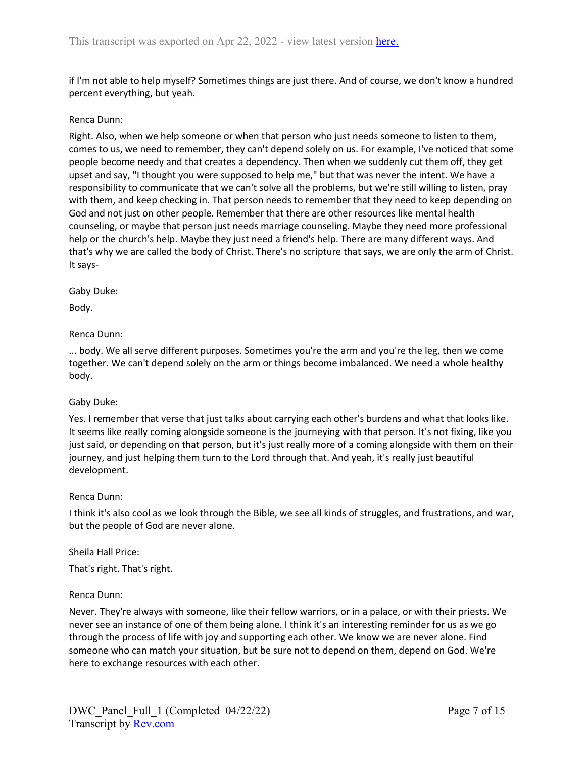if I'm not able to help myself? Sometimes things are just there. And of course, we don't know a hundred percent everything, but yeah.

### Renca Dunn:

Right. Also, when we help someone or when that person who just needs someone to listen to them, comes to us, we need to remember, they can't depend solely on us. For example, I've noticed that some people become needy and that creates a dependency. Then when we suddenly cut them off, they get upset and say, "I thought you were supposed to help me," but that was never the intent. We have a responsibility to communicate that we can't solve all the problems, but we're still willing to listen, pray with them, and keep checking in. That person needs to remember that they need to keep depending on God and not just on other people. Remember that there are other resources like mental health counseling, or maybe that person just needs marriage counseling. Maybe they need more professional help or the church's help. Maybe they just need a friend's help. There are many different ways. And that's why we are called the body of Christ. There's no scripture that says, we are only the arm of Christ. It says-

Gaby Duke:

Body.

Renca Dunn:

... body. We all serve different purposes. Sometimes you're the arm and you're the leg, then we come together. We can't depend solely on the arm or things become imbalanced. We need a whole healthy body.

#### Gaby Duke:

Yes. I remember that verse that just talks about carrying each other's burdens and what that looks like. It seems like really coming alongside someone is the journeying with that person. It's not fixing, like you just said, or depending on that person, but it's just really more of a coming alongside with them on their journey, and just helping them turn to the Lord through that. And yeah, it's really just beautiful development.

#### Renca Dunn:

I think it's also cool as we look through the Bible, we see all kinds of struggles, and frustrations, and war, but the people of God are never alone.

#### Sheila Hall Price:

That's right. That's right.

#### Renca Dunn:

Never. They're always with someone, like their fellow warriors, or in a palace, or with their priests. We never see an instance of one of them being alone. I think it's an interesting reminder for us as we go through the process of life with joy and supporting each other. We know we are never alone. Find someone who can match your situation, but be sure not to depend on them, depend on God. We're here to exchange resources with each other.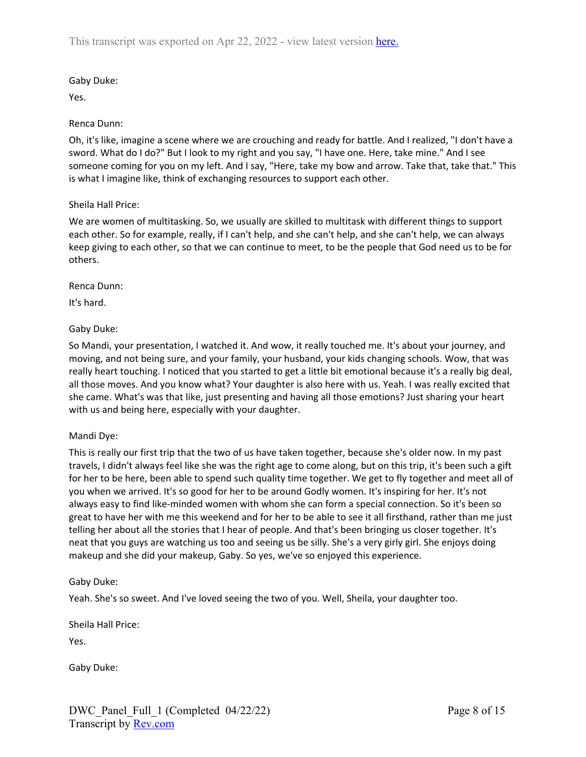# Gaby Duke:

Yes.

# Renca Dunn:

Oh, it's like, imagine a scene where we are crouching and ready for battle. And I realized, "I don't have a sword. What do I do?" But I look to my right and you say, "I have one. Here, take mine." And I see someone coming for you on my left. And I say, "Here, take my bow and arrow. Take that, take that." This is what I imagine like, think of exchanging resources to support each other.

## Sheila Hall Price:

We are women of multitasking. So, we usually are skilled to multitask with different things to support each other. So for example, really, if I can't help, and she can't help, and she can't help, we can always keep giving to each other, so that we can continue to meet, to be the people that God need us to be for others.

## Renca Dunn:

It's hard.

# Gaby Duke:

So Mandi, your presentation, I watched it. And wow, it really touched me. It's about your journey, and moving, and not being sure, and your family, your husband, your kids changing schools. Wow, that was really heart touching. I noticed that you started to get a little bit emotional because it's a really big deal, all those moves. And you know what? Your daughter is also here with us. Yeah. I was really excited that she came. What's was that like, just presenting and having all those emotions? Just sharing your heart with us and being here, especially with your daughter.

#### Mandi Dye:

This is really our first trip that the two of us have taken together, because she's older now. In my past travels, I didn't always feel like she was the right age to come along, but on this trip, it's been such a gift for her to be here, been able to spend such quality time together. We get to fly together and meet all of you when we arrived. It's so good for her to be around Godly women. It's inspiring for her. It's not always easy to find like-minded women with whom she can form a special connection. So it's been so great to have her with me this weekend and for her to be able to see it all firsthand, rather than me just telling her about all the stories that I hear of people. And that's been bringing us closer together. It's neat that you guys are watching us too and seeing us be silly. She's a very girly girl. She enjoys doing makeup and she did your makeup, Gaby. So yes, we've so enjoyed this experience.

#### Gaby Duke:

Yeah. She's so sweet. And I've loved seeing the two of you. Well, Sheila, your daughter too.

Sheila Hall Price:

Yes.

Gaby Duke: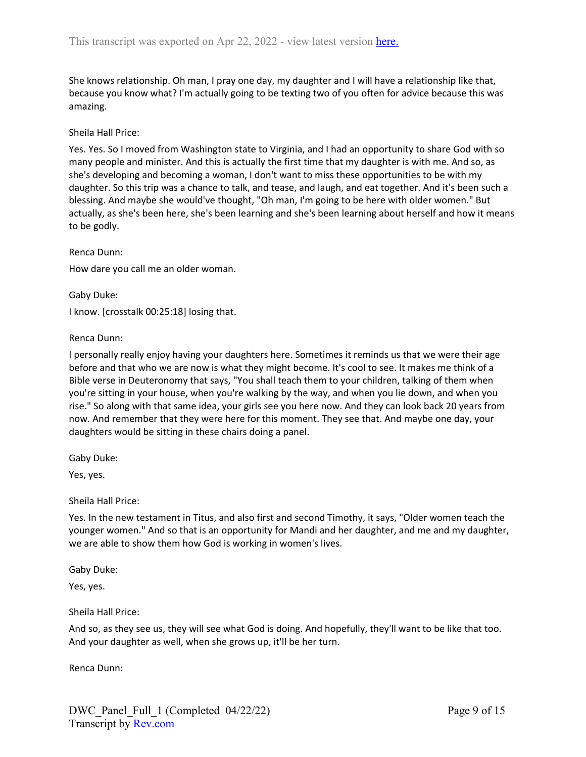She knows relationship. Oh man, I pray one day, my daughter and I will have a relationship like that, because you know what? I'm actually going to be texting two of you often for advice because this was amazing.

#### Sheila Hall Price:

Yes. Yes. So I moved from Washington state to Virginia, and I had an opportunity to share God with so many people and minister. And this is actually the first time that my daughter is with me. And so, as she's developing and becoming a woman, I don't want to miss these opportunities to be with my daughter. So this trip was a chance to talk, and tease, and laugh, and eat together. And it's been such a blessing. And maybe she would've thought, "Oh man, I'm going to be here with older women." But actually, as she's been here, she's been learning and she's been learning about herself and how it means to be godly.

Renca Dunn:

How dare you call me an older woman.

Gaby Duke: I know. [crosstalk 00:25:18] losing that.

Renca Dunn:

I personally really enjoy having your daughters here. Sometimes it reminds us that we were their age before and that who we are now is what they might become. It's cool to see. It makes me think of a Bible verse in Deuteronomy that says, "You shall teach them to your children, talking of them when you're sitting in your house, when you're walking by the way, and when you lie down, and when you rise." So along with that same idea, your girls see you here now. And they can look back 20 years from now. And remember that they were here for this moment. They see that. And maybe one day, your daughters would be sitting in these chairs doing a panel.

Gaby Duke:

Yes, yes.

Sheila Hall Price:

Yes. In the new testament in Titus, and also first and second Timothy, it says, "Older women teach the younger women." And so that is an opportunity for Mandi and her daughter, and me and my daughter, we are able to show them how God is working in women's lives.

Gaby Duke:

Yes, yes.

Sheila Hall Price:

And so, as they see us, they will see what God is doing. And hopefully, they'll want to be like that too. And your daughter as well, when she grows up, it'll be her turn.

Renca Dunn: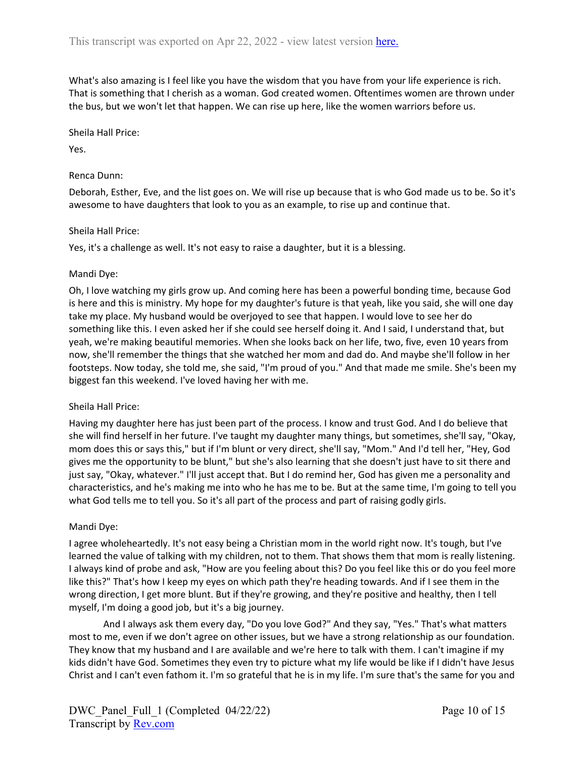What's also amazing is I feel like you have the wisdom that you have from your life experience is rich. That is something that I cherish as a woman. God created women. Oftentimes women are thrown under the bus, but we won't let that happen. We can rise up here, like the women warriors before us.

Sheila Hall Price:

Yes.

### Renca Dunn:

Deborah, Esther, Eve, and the list goes on. We will rise up because that is who God made us to be. So it's awesome to have daughters that look to you as an example, to rise up and continue that.

#### Sheila Hall Price:

Yes, it's a challenge as well. It's not easy to raise a daughter, but it is a blessing.

## Mandi Dye:

Oh, I love watching my girls grow up. And coming here has been a powerful bonding time, because God is here and this is ministry. My hope for my daughter's future is that yeah, like you said, she will one day take my place. My husband would be overjoyed to see that happen. I would love to see her do something like this. I even asked her if she could see herself doing it. And I said, I understand that, but yeah, we're making beautiful memories. When she looks back on her life, two, five, even 10 years from now, she'll remember the things that she watched her mom and dad do. And maybe she'll follow in her footsteps. Now today, she told me, she said, "I'm proud of you." And that made me smile. She's been my biggest fan this weekend. I've loved having her with me.

#### Sheila Hall Price:

Having my daughter here has just been part of the process. I know and trust God. And I do believe that she will find herself in her future. I've taught my daughter many things, but sometimes, she'll say, "Okay, mom does this or says this," but if I'm blunt or very direct, she'll say, "Mom." And I'd tell her, "Hey, God gives me the opportunity to be blunt," but she's also learning that she doesn't just have to sit there and just say, "Okay, whatever." I'll just accept that. But I do remind her, God has given me a personality and characteristics, and he's making me into who he has me to be. But at the same time, I'm going to tell you what God tells me to tell you. So it's all part of the process and part of raising godly girls.

#### Mandi Dye:

I agree wholeheartedly. It's not easy being a Christian mom in the world right now. It's tough, but I've learned the value of talking with my children, not to them. That shows them that mom is really listening. I always kind of probe and ask, "How are you feeling about this? Do you feel like this or do you feel more like this?" That's how I keep my eyes on which path they're heading towards. And if I see them in the wrong direction, I get more blunt. But if they're growing, and they're positive and healthy, then I tell myself, I'm doing a good job, but it's a big journey.

And I always ask them every day, "Do you love God?" And they say, "Yes." That's what matters most to me, even if we don't agree on other issues, but we have a strong relationship as our foundation. They know that my husband and I are available and we're here to talk with them. I can't imagine if my kids didn't have God. Sometimes they even try to picture what my life would be like if I didn't have Jesus Christ and I can't even fathom it. I'm so grateful that he is in my life. I'm sure that's the same for you and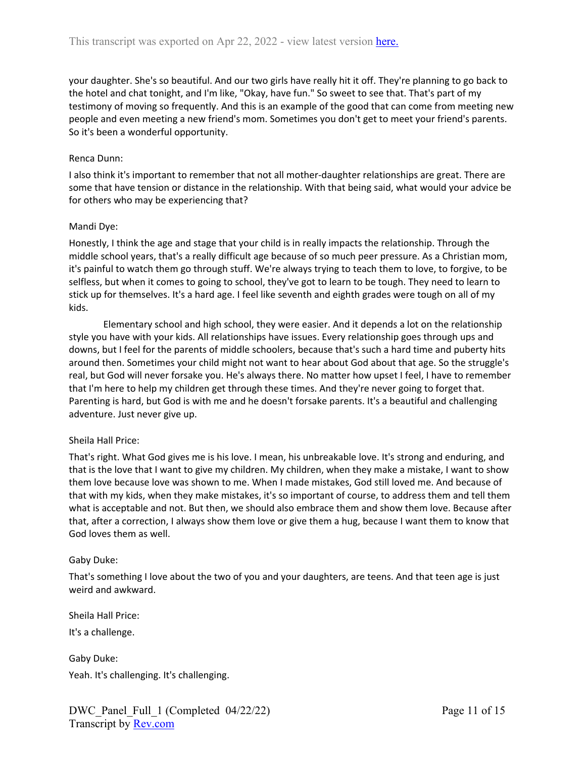your daughter. She's so beautiful. And our two girls have really hit it off. They're planning to go back to the hotel and chat tonight, and I'm like, "Okay, have fun." So sweet to see that. That's part of my testimony of moving so frequently. And this is an example of the good that can come from meeting new people and even meeting a new friend's mom. Sometimes you don't get to meet your friend's parents. So it's been a wonderful opportunity.

#### Renca Dunn:

I also think it's important to remember that not all mother-daughter relationships are great. There are some that have tension or distance in the relationship. With that being said, what would your advice be for others who may be experiencing that?

#### Mandi Dye:

Honestly, I think the age and stage that your child is in really impacts the relationship. Through the middle school years, that's a really difficult age because of so much peer pressure. As a Christian mom, it's painful to watch them go through stuff. We're always trying to teach them to love, to forgive, to be selfless, but when it comes to going to school, they've got to learn to be tough. They need to learn to stick up for themselves. It's a hard age. I feel like seventh and eighth grades were tough on all of my kids.

Elementary school and high school, they were easier. And it depends a lot on the relationship style you have with your kids. All relationships have issues. Every relationship goes through ups and downs, but I feel for the parents of middle schoolers, because that's such a hard time and puberty hits around then. Sometimes your child might not want to hear about God about that age. So the struggle's real, but God will never forsake you. He's always there. No matter how upset I feel, I have to remember that I'm here to help my children get through these times. And they're never going to forget that. Parenting is hard, but God is with me and he doesn't forsake parents. It's a beautiful and challenging adventure. Just never give up.

#### Sheila Hall Price:

That's right. What God gives me is his love. I mean, his unbreakable love. It's strong and enduring, and that is the love that I want to give my children. My children, when they make a mistake, I want to show them love because love was shown to me. When I made mistakes, God still loved me. And because of that with my kids, when they make mistakes, it's so important of course, to address them and tell them what is acceptable and not. But then, we should also embrace them and show them love. Because after that, after a correction, I always show them love or give them a hug, because I want them to know that God loves them as well.

#### Gaby Duke:

That's something I love about the two of you and your daughters, are teens. And that teen age is just weird and awkward.

Sheila Hall Price:

It's a challenge.

Gaby Duke: Yeah. It's challenging. It's challenging.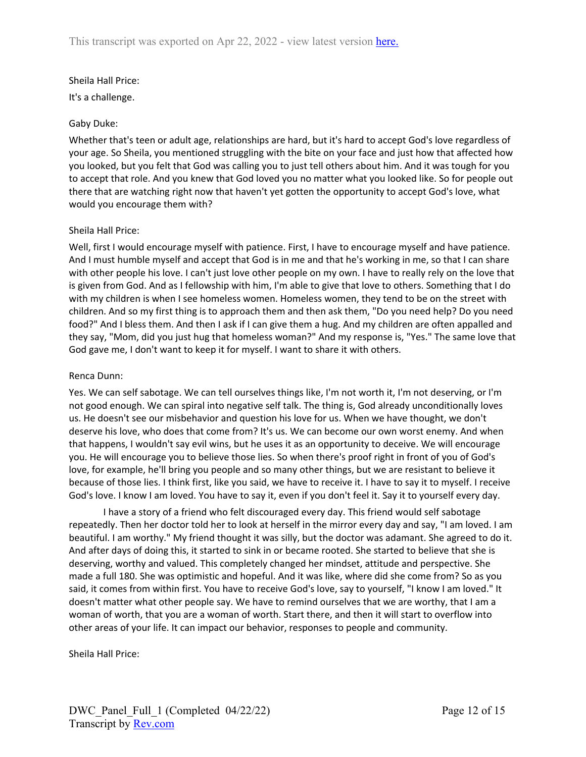### Sheila Hall Price:

It's a challenge.

### Gaby Duke:

Whether that's teen or adult age, relationships are hard, but it's hard to accept God's love regardless of your age. So Sheila, you mentioned struggling with the bite on your face and just how that affected how you looked, but you felt that God was calling you to just tell others about him. And it was tough for you to accept that role. And you knew that God loved you no matter what you looked like. So for people out there that are watching right now that haven't yet gotten the opportunity to accept God's love, what would you encourage them with?

## Sheila Hall Price:

Well, first I would encourage myself with patience. First, I have to encourage myself and have patience. And I must humble myself and accept that God is in me and that he's working in me, so that I can share with other people his love. I can't just love other people on my own. I have to really rely on the love that is given from God. And as I fellowship with him, I'm able to give that love to others. Something that I do with my children is when I see homeless women. Homeless women, they tend to be on the street with children. And so my first thing is to approach them and then ask them, "Do you need help? Do you need food?" And I bless them. And then I ask if I can give them a hug. And my children are often appalled and they say, "Mom, did you just hug that homeless woman?" And my response is, "Yes." The same love that God gave me, I don't want to keep it for myself. I want to share it with others.

### Renca Dunn:

Yes. We can self sabotage. We can tell ourselves things like, I'm not worth it, I'm not deserving, or I'm not good enough. We can spiral into negative self talk. The thing is, God already unconditionally loves us. He doesn't see our misbehavior and question his love for us. When we have thought, we don't deserve his love, who does that come from? It's us. We can become our own worst enemy. And when that happens, I wouldn't say evil wins, but he uses it as an opportunity to deceive. We will encourage you. He will encourage you to believe those lies. So when there's proof right in front of you of God's love, for example, he'll bring you people and so many other things, but we are resistant to believe it because of those lies. I think first, like you said, we have to receive it. I have to say it to myself. I receive God's love. I know I am loved. You have to say it, even if you don't feel it. Say it to yourself every day.

I have a story of a friend who felt discouraged every day. This friend would self sabotage repeatedly. Then her doctor told her to look at herself in the mirror every day and say, "I am loved. I am beautiful. I am worthy." My friend thought it was silly, but the doctor was adamant. She agreed to do it. And after days of doing this, it started to sink in or became rooted. She started to believe that she is deserving, worthy and valued. This completely changed her mindset, attitude and perspective. She made a full 180. She was optimistic and hopeful. And it was like, where did she come from? So as you said, it comes from within first. You have to receive God's love, say to yourself, "I know I am loved." It doesn't matter what other people say. We have to remind ourselves that we are worthy, that I am a woman of worth, that you are a woman of worth. Start there, and then it will start to overflow into other areas of your life. It can impact our behavior, responses to people and community.

Sheila Hall Price: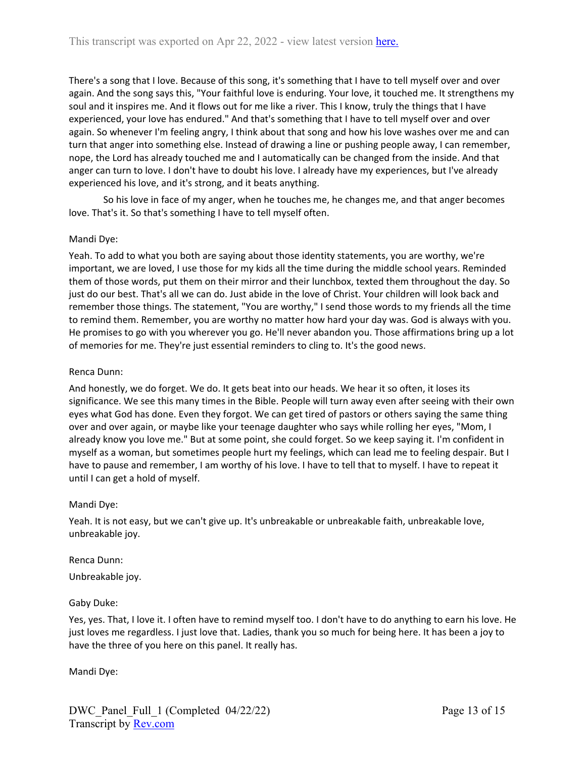There's a song that I love. Because of this song, it's something that I have to tell myself over and over again. And the song says this, "Your faithful love is enduring. Your love, it touched me. It strengthens my soul and it inspires me. And it flows out for me like a river. This I know, truly the things that I have experienced, your love has endured." And that's something that I have to tell myself over and over again. So whenever I'm feeling angry, I think about that song and how his love washes over me and can turn that anger into something else. Instead of drawing a line or pushing people away, I can remember, nope, the Lord has already touched me and I automatically can be changed from the inside. And that anger can turn to love. I don't have to doubt his love. I already have my experiences, but I've already experienced his love, and it's strong, and it beats anything.

So his love in face of my anger, when he touches me, he changes me, and that anger becomes love. That's it. So that's something I have to tell myself often.

## Mandi Dye:

Yeah. To add to what you both are saying about those identity statements, you are worthy, we're important, we are loved, I use those for my kids all the time during the middle school years. Reminded them of those words, put them on their mirror and their lunchbox, texted them throughout the day. So just do our best. That's all we can do. Just abide in the love of Christ. Your children will look back and remember those things. The statement, "You are worthy," I send those words to my friends all the time to remind them. Remember, you are worthy no matter how hard your day was. God is always with you. He promises to go with you wherever you go. He'll never abandon you. Those affirmations bring up a lot of memories for me. They're just essential reminders to cling to. It's the good news.

## Renca Dunn:

And honestly, we do forget. We do. It gets beat into our heads. We hear it so often, it loses its significance. We see this many times in the Bible. People will turn away even after seeing with their own eyes what God has done. Even they forgot. We can get tired of pastors or others saying the same thing over and over again, or maybe like your teenage daughter who says while rolling her eyes, "Mom, I already know you love me." But at some point, she could forget. So we keep saying it. I'm confident in myself as a woman, but sometimes people hurt my feelings, which can lead me to feeling despair. But I have to pause and remember, I am worthy of his love. I have to tell that to myself. I have to repeat it until I can get a hold of myself.

#### Mandi Dye:

Yeah. It is not easy, but we can't give up. It's unbreakable or unbreakable faith, unbreakable love, unbreakable joy.

#### Renca Dunn:

Unbreakable joy.

#### Gaby Duke:

Yes, yes. That, I love it. I often have to remind myself too. I don't have to do anything to earn his love. He just loves me regardless. I just love that. Ladies, thank you so much for being here. It has been a joy to have the three of you here on this panel. It really has.

Mandi Dye: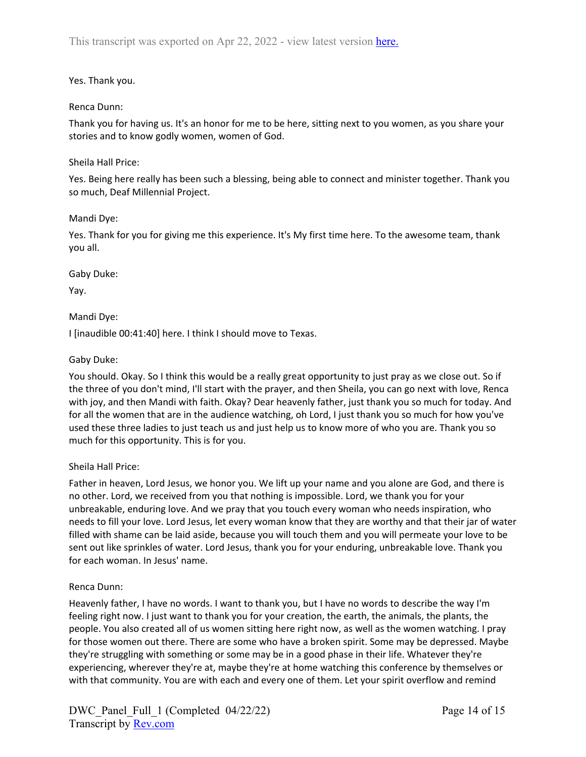# Yes. Thank you.

### Renca Dunn:

Thank you for having us. It's an honor for me to be here, sitting next to you women, as you share your stories and to know godly women, women of God.

### Sheila Hall Price:

Yes. Being here really has been such a blessing, being able to connect and minister together. Thank you so much, Deaf Millennial Project.

#### Mandi Dye:

Yes. Thank for you for giving me this experience. It's My first time here. To the awesome team, thank you all.

Gaby Duke:

Yay.

Mandi Dye:

I [inaudible 00:41:40] here. I think I should move to Texas.

## Gaby Duke:

You should. Okay. So I think this would be a really great opportunity to just pray as we close out. So if the three of you don't mind, I'll start with the prayer, and then Sheila, you can go next with love, Renca with joy, and then Mandi with faith. Okay? Dear heavenly father, just thank you so much for today. And for all the women that are in the audience watching, oh Lord, I just thank you so much for how you've used these three ladies to just teach us and just help us to know more of who you are. Thank you so much for this opportunity. This is for you.

#### Sheila Hall Price:

Father in heaven, Lord Jesus, we honor you. We lift up your name and you alone are God, and there is no other. Lord, we received from you that nothing is impossible. Lord, we thank you for your unbreakable, enduring love. And we pray that you touch every woman who needs inspiration, who needs to fill your love. Lord Jesus, let every woman know that they are worthy and that their jar of water filled with shame can be laid aside, because you will touch them and you will permeate your love to be sent out like sprinkles of water. Lord Jesus, thank you for your enduring, unbreakable love. Thank you for each woman. In Jesus' name.

#### Renca Dunn:

Heavenly father, I have no words. I want to thank you, but I have no words to describe the way I'm feeling right now. I just want to thank you for your creation, the earth, the animals, the plants, the people. You also created all of us women sitting here right now, as well as the women watching. I pray for those women out there. There are some who have a broken spirit. Some may be depressed. Maybe they're struggling with something or some may be in a good phase in their life. Whatever they're experiencing, wherever they're at, maybe they're at home watching this conference by themselves or with that community. You are with each and every one of them. Let your spirit overflow and remind